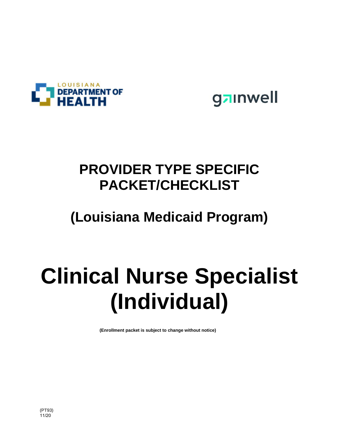



# **PROVIDER TYPE SPECIFIC PACKET/CHECKLIST**

# **(Louisiana Medicaid Program)**

# **Clinical Nurse Specialist (Individual)**

**(Enrollment packet is subject to change without notice)**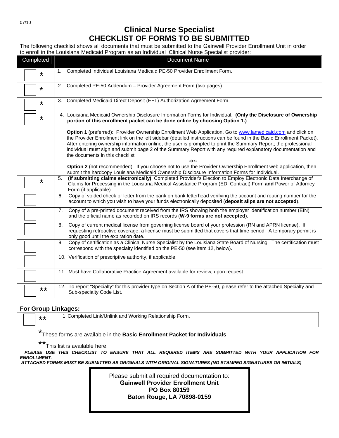### **Clinical Nurse Specialist CHECKLIST OF FORMS TO BE SUBMITTED**

The following checklist shows all documents that must be submitted to the Gainwell Provider Enrollment Unit in order to enroll in the Louisiana Medicaid Program as an Individual Clinical Nurse Specialist provider:

| Completed | <b>Document Name</b>                                                                                                                                                                                                                                                                                                                                                                                                                                                                                       |
|-----------|------------------------------------------------------------------------------------------------------------------------------------------------------------------------------------------------------------------------------------------------------------------------------------------------------------------------------------------------------------------------------------------------------------------------------------------------------------------------------------------------------------|
| *         | 1. Completed Individual Louisiana Medicaid PE-50 Provider Enrollment Form.                                                                                                                                                                                                                                                                                                                                                                                                                                 |
| *         | 2. Completed PE-50 Addendum - Provider Agreement Form (two pages).                                                                                                                                                                                                                                                                                                                                                                                                                                         |
| *         | 3. Completed Medicaid Direct Deposit (EFT) Authorization Agreement Form.                                                                                                                                                                                                                                                                                                                                                                                                                                   |
| *         | 4. Louisiana Medicaid Ownership Disclosure Information Forms for Individual. (Only the Disclosure of Ownership<br>portion of this enrollment packet can be done online by choosing Option 1.)                                                                                                                                                                                                                                                                                                              |
|           | Option 1 (preferred): Provider Ownership Enrollment Web Application. Go to www.lamedicaid.com and click on<br>the Provider Enrollment link on the left sidebar (detailed instructions can be found in the Basic Enrollment Packet).<br>After entering ownership information online, the user is prompted to print the Summary Report; the professional<br>individual must sign and submit page 2 of the Summary Report with any required explanatory documentation and<br>the documents in this checklist. |
|           | -or-<br>Option 2 (not recommended): If you choose not to use the Provider Ownership Enrollment web application, then<br>submit the hardcopy Louisiana Medicaid Ownership Disclosure Information Forms for Individual.                                                                                                                                                                                                                                                                                      |
| *         | (If submitting claims electronically) Completed Provider's Election to Employ Electronic Data Interchange of<br>5.<br>Claims for Processing in the Louisiana Medical Assistance Program (EDI Contract) Form and Power of Attorney<br>Form (if applicable).                                                                                                                                                                                                                                                 |
|           | Copy of voided check or letter from the bank on bank letterhead verifying the account and routing number for the<br>6.<br>account to which you wish to have your funds electronically deposited (deposit slips are not accepted).                                                                                                                                                                                                                                                                          |
|           | Copy of a pre-printed document received from the IRS showing both the employer identification number (EIN)<br>7.<br>and the official name as recorded on IRS records (W-9 forms are not accepted).                                                                                                                                                                                                                                                                                                         |
|           | Copy of current medical license from governing license board of your profession (RN and APRN license). If<br>8.<br>requesting retroactive coverage, a license must be submitted that covers that time period. A temporary permit is<br>only good until the expiration date.                                                                                                                                                                                                                                |
|           | Copy of certification as a Clinical Nurse Specialist by the Louisiana State Board of Nursing. The certification must<br>9.<br>correspond with the specialty identified on the PE-50 (see item 12, below).                                                                                                                                                                                                                                                                                                  |
|           | 10. Verification of prescriptive authority, if applicable.                                                                                                                                                                                                                                                                                                                                                                                                                                                 |
|           | 11. Must have Collaborative Practice Agreement available for review, upon request.                                                                                                                                                                                                                                                                                                                                                                                                                         |
| **        | 12. To report "Specialty" for this provider type on Section A of the PE-50, please refer to the attached Specialty and<br>Sub-specialty Code List.                                                                                                                                                                                                                                                                                                                                                         |

#### **For Group Linkages:**

\*\* | 1. Completed Link/Unlink and Working Relationship Form.

\* These forms are available in the **Basic Enrollment Packet for Individuals**.

\*\* This list is available here.

**PLEASE USE THIS CHECKLIST TO ENSURE THAT ALL REQUIRED ITEMS ARE SUBMITTED WITH YOUR APPLICATION FOR ENROLLMENT. ATTACHED FORMS MUST BE SUBMITTED AS ORIGINALS WITH ORIGINAL SIGNATURES (NO STAMPED SIGNATURES OR INITIALS)** 

> Please submit all required documentation to: **Gainwell Provider Enrollment Unit PO Box 80159 Baton Rouge, LA 70898-0159**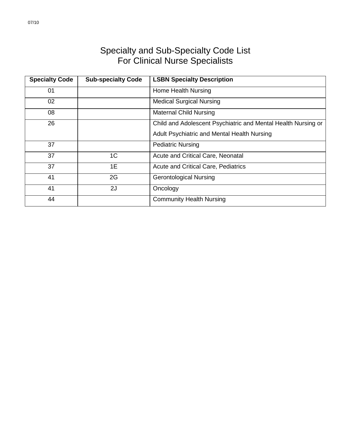## Specialty and Sub-Specialty Code List For Clinical Nurse Specialists

| <b>Specialty Code</b> | <b>Sub-specialty Code</b> | <b>LSBN Specialty Description</b>                             |
|-----------------------|---------------------------|---------------------------------------------------------------|
| 01                    |                           | Home Health Nursing                                           |
| 02                    |                           | <b>Medical Surgical Nursing</b>                               |
| 08                    |                           | <b>Maternal Child Nursing</b>                                 |
| 26                    |                           | Child and Adolescent Psychiatric and Mental Health Nursing or |
|                       |                           | Adult Psychiatric and Mental Health Nursing                   |
| 37                    |                           | <b>Pediatric Nursing</b>                                      |
| 37                    | 1 <sup>C</sup>            | Acute and Critical Care, Neonatal                             |
| 37                    | 1E                        | <b>Acute and Critical Care, Pediatrics</b>                    |
| 41                    | 2G                        | <b>Gerontological Nursing</b>                                 |
| 41                    | 2J                        | Oncology                                                      |
| 44                    |                           | <b>Community Health Nursing</b>                               |